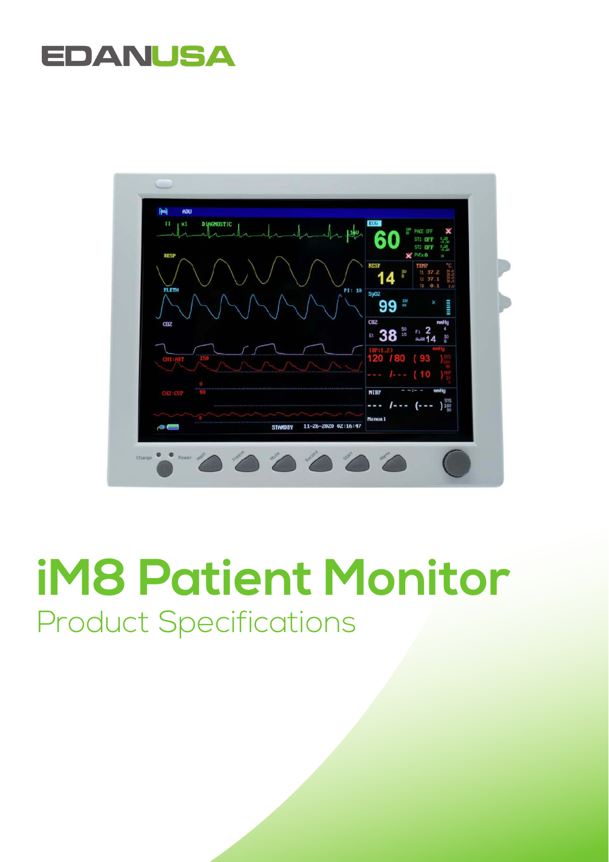# **EDANUSA**



# **iM8 Patient Monitor**  Product Specifications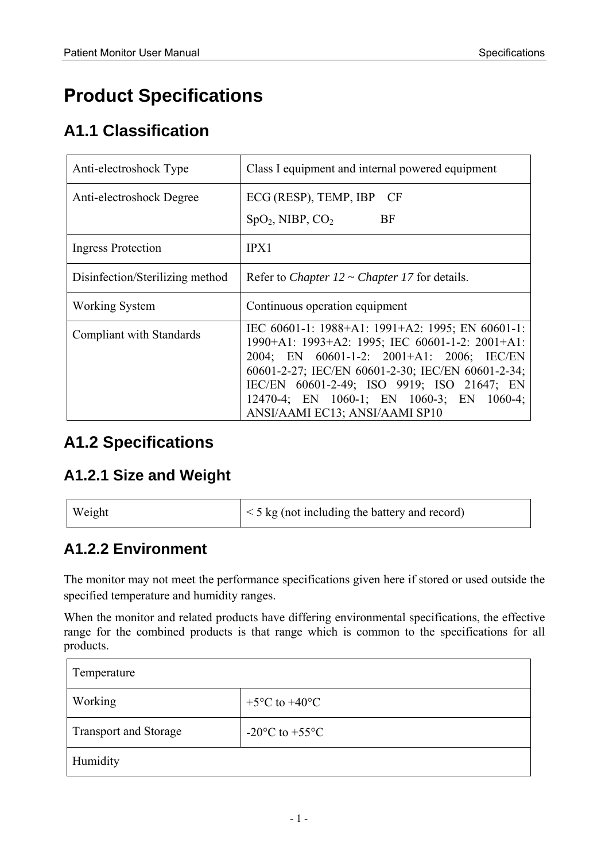# **Product Specifications**

### **A1.1 Classification**

| Anti-electroshock Type          | Class I equipment and internal powered equipment                                                                                                                                                                                                                                                                                   |
|---------------------------------|------------------------------------------------------------------------------------------------------------------------------------------------------------------------------------------------------------------------------------------------------------------------------------------------------------------------------------|
| Anti-electroshock Degree        | ECG (RESP), TEMP, IBP CF                                                                                                                                                                                                                                                                                                           |
|                                 | $SpO2$ , NIBP, $CO2$<br><b>BF</b>                                                                                                                                                                                                                                                                                                  |
| <b>Ingress Protection</b>       | IPX1                                                                                                                                                                                                                                                                                                                               |
| Disinfection/Sterilizing method | Refer to <i>Chapter 12 ~ Chapter 17</i> for details.                                                                                                                                                                                                                                                                               |
| <b>Working System</b>           | Continuous operation equipment                                                                                                                                                                                                                                                                                                     |
| Compliant with Standards        | IEC 60601-1: 1988+A1: 1991+A2: 1995; EN 60601-1:<br>1990+A1: 1993+A2: 1995; IEC 60601-1-2: 2001+A1:<br>2004; EN 60601-1-2: 2001+A1: 2006; IEC/EN<br>60601-2-27; IEC/EN 60601-2-30; IEC/EN 60601-2-34;<br>IEC/EN 60601-2-49; ISO 9919; ISO 21647; EN<br>12470-4; EN 1060-1; EN 1060-3; EN 1060-4;<br>ANSI/AAMI EC13; ANSI/AAMI SP10 |

#### **A1.2 Specifications**

#### **A1.2.1 Size and Weight**

| Weight | $\leq$ 5 kg (not including the battery and record) |
|--------|----------------------------------------------------|
|--------|----------------------------------------------------|

#### **A1.2.2 Environment**

The monitor may not meet the performance specifications given here if stored or used outside the specified temperature and humidity ranges.

When the monitor and related products have differing environmental specifications, the effective range for the combined products is that range which is common to the specifications for all products.

| Temperature                  |                                          |
|------------------------------|------------------------------------------|
| Working                      | $+5^{\circ}$ C to $+40^{\circ}$ C        |
| <b>Transport and Storage</b> | $-20\textdegree$ C to $+55\textdegree$ C |
| Humidity                     |                                          |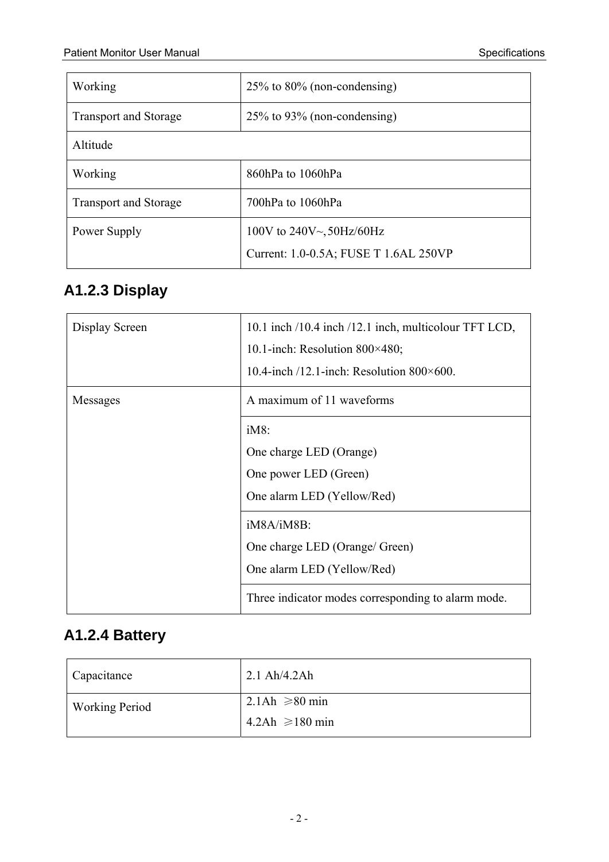| Working                      | $25\%$ to 80% (non-condensing)        |
|------------------------------|---------------------------------------|
| <b>Transport and Storage</b> | $25\%$ to 93% (non-condensing)        |
| Altitude                     |                                       |
| Working                      | 860hPa to 1060hPa                     |
| <b>Transport and Storage</b> | 700hPa to 1060hPa                     |
| Power Supply                 | 100V to $240V_{\sim}$ , 50Hz/60Hz     |
|                              | Current: 1.0-0.5A; FUSE T 1.6AL 250VP |

# **A1.2.3 Display**

| Display Screen | 10.1 inch /10.4 inch /12.1 inch, multicolour TFT LCD, |
|----------------|-------------------------------------------------------|
|                | 10.1-inch: Resolution $800\times480$ ;                |
|                | 10.4-inch $/12.1$ -inch: Resolution 800×600.          |
| Messages       | A maximum of 11 waveforms                             |
|                | iM8:                                                  |
|                | One charge LED (Orange)                               |
|                | One power LED (Green)                                 |
|                | One alarm LED (Yellow/Red)                            |
|                | iM8A/iM8B:                                            |
|                | One charge LED (Orange/ Green)                        |
|                | One alarm LED (Yellow/Red)                            |
|                | Three indicator modes corresponding to alarm mode.    |

#### **A1.2.4 Battery**

| Capacitance           | $2.1$ Ah/4.2Ah      |
|-----------------------|---------------------|
| <b>Working Period</b> | 2.1Ah $\geq 80$ min |
|                       | $4.2Ah \ge 180 min$ |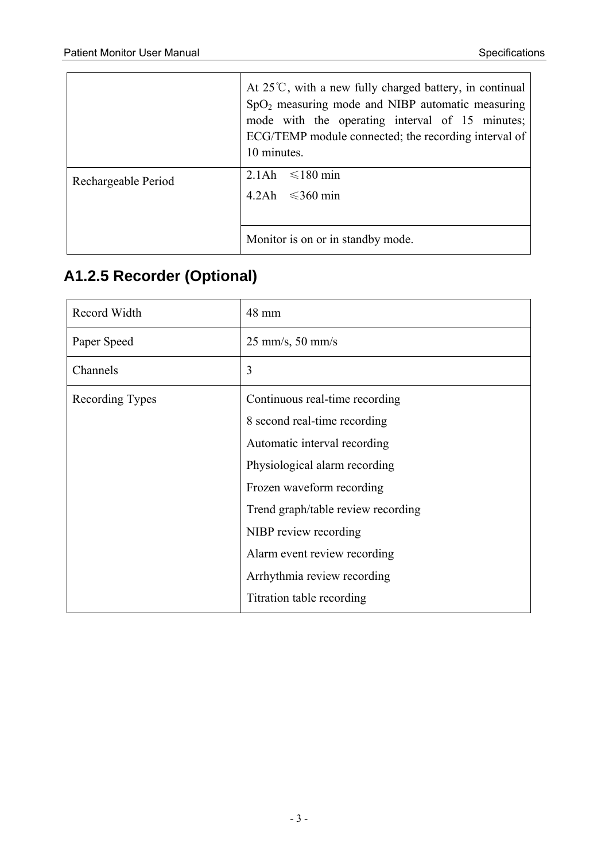|                     | At $25^{\circ}$ C, with a new fully charged battery, in continual<br>$SpO2$ measuring mode and NIBP automatic measuring<br>mode with the operating interval of 15 minutes;<br>ECG/TEMP module connected; the recording interval of<br>10 minutes. |
|---------------------|---------------------------------------------------------------------------------------------------------------------------------------------------------------------------------------------------------------------------------------------------|
| Rechargeable Period | 2.1Ah $\leq 180$ min                                                                                                                                                                                                                              |
|                     | $4.2\text{Ah} \leq 360 \text{ min}$                                                                                                                                                                                                               |
|                     |                                                                                                                                                                                                                                                   |
|                     | Monitor is on or in standby mode.                                                                                                                                                                                                                 |

#### **A1.2.5 Recorder (Optional)**

| Record Width    | 48 mm                              |
|-----------------|------------------------------------|
| Paper Speed     | $25$ mm/s, $50$ mm/s               |
| Channels        | 3                                  |
| Recording Types | Continuous real-time recording     |
|                 | 8 second real-time recording       |
|                 | Automatic interval recording       |
|                 | Physiological alarm recording      |
|                 | Frozen waveform recording          |
|                 | Trend graph/table review recording |
|                 | NIBP review recording              |
|                 | Alarm event review recording       |
|                 | Arrhythmia review recording        |
|                 | Titration table recording          |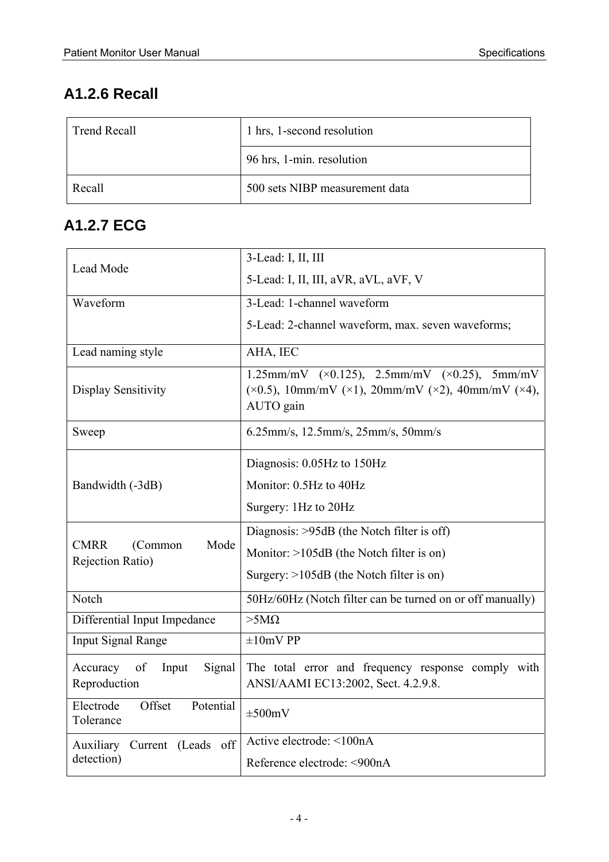#### **A1.2.6 Recall**

| <b>Trend Recall</b> | 1 hrs, 1-second resolution     |
|---------------------|--------------------------------|
|                     | 96 hrs, 1-min. resolution      |
| Recall              | 500 sets NIBP measurement data |

#### **A1.2.7 ECG**

|                                                              | 3-Lead: I, II, III                                                                                                               |
|--------------------------------------------------------------|----------------------------------------------------------------------------------------------------------------------------------|
| Lead Mode                                                    | 5-Lead: I, II, III, aVR, aVL, aVF, V                                                                                             |
| Waveform                                                     | 3-Lead: 1-channel waveform                                                                                                       |
|                                                              | 5-Lead: 2-channel waveform, max. seven waveforms;                                                                                |
| Lead naming style                                            | AHA, IEC                                                                                                                         |
| Display Sensitivity                                          | 1.25mm/mV $(x0.125)$ , 2.5mm/mV $(x0.25)$ , 5mm/mV<br>$(x0.5)$ , 10mm/mV $(x1)$ , 20mm/mV $(x2)$ , 40mm/mV $(x4)$ ,<br>AUTO gain |
| Sweep                                                        | 6.25mm/s, 12.5mm/s, 25mm/s, 50mm/s                                                                                               |
|                                                              | Diagnosis: 0.05Hz to 150Hz                                                                                                       |
| Bandwidth (-3dB)                                             | Monitor: 0.5Hz to 40Hz                                                                                                           |
|                                                              | Surgery: 1Hz to 20Hz                                                                                                             |
|                                                              | Diagnosis: >95dB (the Notch filter is off)                                                                                       |
| <b>CMRR</b><br>Mode<br>(Common<br>Rejection Ratio)           | Monitor: $>105dB$ (the Notch filter is on)                                                                                       |
|                                                              | Surgery: $>105dB$ (the Notch filter is on)                                                                                       |
| Notch                                                        | 50Hz/60Hz (Notch filter can be turned on or off manually)                                                                        |
| Differential Input Impedance                                 | $>5M\Omega$                                                                                                                      |
| <b>Input Signal Range</b>                                    | $\pm 10$ mV PP                                                                                                                   |
| Accuracy<br><sub>of</sub><br>Signal<br>Input<br>Reproduction | The total error and frequency response comply with<br>ANSI/AAMI EC13:2002, Sect. 4.2.9.8.                                        |
| Electrode<br>Offset<br>Potential<br>Tolerance                | $\pm 500$ mV                                                                                                                     |
| Auxiliary Current (Leads off                                 | Active electrode: <100nA                                                                                                         |
| detection)                                                   | Reference electrode: <900nA                                                                                                      |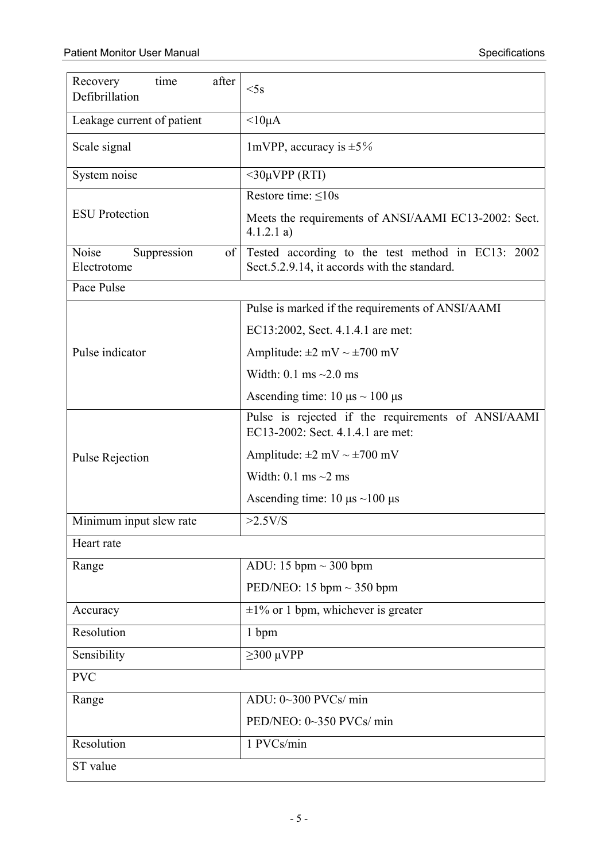| Recovery<br>time<br>after<br>Defibrillation | $<$ 5s                                                                                             |
|---------------------------------------------|----------------------------------------------------------------------------------------------------|
| Leakage current of patient                  | $<10\mu A$                                                                                         |
| Scale signal                                | 1mVPP, accuracy is $\pm 5\%$                                                                       |
| System noise                                | $<$ 30µVPP (RTI)                                                                                   |
|                                             | Restore time: <10s                                                                                 |
| <b>ESU</b> Protection                       | Meets the requirements of ANSI/AAMI EC13-2002: Sect.<br>4.1.2.1 a)                                 |
| Noise<br>Suppression<br>of<br>Electrotome   | Tested according to the test method in EC13: 2002<br>Sect. 5.2.9.14, it accords with the standard. |
| Pace Pulse                                  |                                                                                                    |
|                                             | Pulse is marked if the requirements of ANSI/AAMI                                                   |
|                                             | EC13:2002, Sect. 4.1.4.1 are met:                                                                  |
| Pulse indicator                             | Amplitude: $\pm 2$ mV $\sim \pm 700$ mV                                                            |
|                                             | Width: $0.1 \text{ ms} \sim 2.0 \text{ ms}$                                                        |
|                                             | Ascending time: $10 \mu s \sim 100 \mu s$                                                          |
|                                             | Pulse is rejected if the requirements of ANSI/AAMI<br>EC13-2002: Sect. 4.1.4.1 are met:            |
| <b>Pulse Rejection</b>                      | Amplitude: $\pm 2$ mV $\sim \pm 700$ mV                                                            |
|                                             | Width: 0.1 ms $\sim$ 2 ms                                                                          |
|                                             | Ascending time: $10 \mu s \sim 100 \mu s$                                                          |
| Minimum input slew rate                     | >2.5V/S                                                                                            |
| Heart rate                                  |                                                                                                    |
| Range                                       | ADU: 15 bpm $\sim$ 300 bpm                                                                         |
|                                             | PED/NEO: 15 bpm $\sim$ 350 bpm                                                                     |
| Accuracy                                    | $\pm 1\%$ or 1 bpm, whichever is greater                                                           |
| Resolution                                  | 1 bpm                                                                                              |
| Sensibility                                 | $\geq$ 300 µVPP                                                                                    |
| <b>PVC</b>                                  |                                                                                                    |
| Range                                       | ADU: 0~300 PVCs/min                                                                                |
|                                             | PED/NEO: 0~350 PVCs/ min                                                                           |
| Resolution                                  | 1 PVCs/min                                                                                         |
| ST value                                    |                                                                                                    |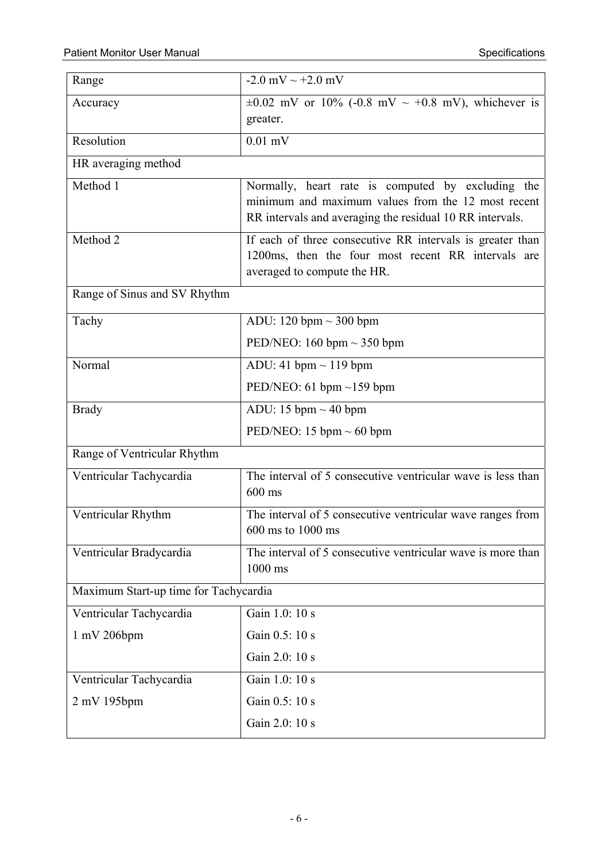| Range                                 | $-2.0$ mV $\sim +2.0$ mV                                                                                                                                            |
|---------------------------------------|---------------------------------------------------------------------------------------------------------------------------------------------------------------------|
| Accuracy                              | $\pm 0.02$ mV or 10% (-0.8 mV ~ +0.8 mV), whichever is<br>greater.                                                                                                  |
| Resolution                            | $0.01$ mV                                                                                                                                                           |
| HR averaging method                   |                                                                                                                                                                     |
| Method 1                              | Normally, heart rate is computed by excluding the<br>minimum and maximum values from the 12 most recent<br>RR intervals and averaging the residual 10 RR intervals. |
| Method 2                              | If each of three consecutive RR intervals is greater than<br>1200ms, then the four most recent RR intervals are<br>averaged to compute the HR.                      |
| Range of Sinus and SV Rhythm          |                                                                                                                                                                     |
| Tachy                                 | ADU: 120 bpm $\sim$ 300 bpm                                                                                                                                         |
|                                       | PED/NEO: 160 bpm $\sim$ 350 bpm                                                                                                                                     |
| Normal                                | ADU: 41 bpm $\sim$ 119 bpm                                                                                                                                          |
|                                       | PED/NEO: 61 bpm $\sim$ 159 bpm                                                                                                                                      |
| <b>Brady</b>                          | ADU: 15 bpm $\sim$ 40 bpm                                                                                                                                           |
|                                       | PED/NEO: 15 bpm $\sim$ 60 bpm                                                                                                                                       |
| Range of Ventricular Rhythm           |                                                                                                                                                                     |
| Ventricular Tachycardia               | The interval of 5 consecutive ventricular wave is less than<br>$600$ ms                                                                                             |
| Ventricular Rhythm                    | The interval of 5 consecutive ventricular wave ranges from<br>600 ms to 1000 ms                                                                                     |
| Ventricular Bradycardia               | The interval of 5 consecutive ventricular wave is more than<br>1000 ms                                                                                              |
| Maximum Start-up time for Tachycardia |                                                                                                                                                                     |
| Ventricular Tachycardia               | Gain 1.0: 10 s                                                                                                                                                      |
| $1 \text{ mV}$ 206bpm                 | Gain 0.5: 10 s                                                                                                                                                      |
|                                       | Gain 2.0: 10 s                                                                                                                                                      |
| Ventricular Tachycardia               | Gain 1.0: 10 s                                                                                                                                                      |
| 2 mV 195bpm                           | Gain 0.5: 10 s                                                                                                                                                      |
|                                       | Gain 2.0: 10 s                                                                                                                                                      |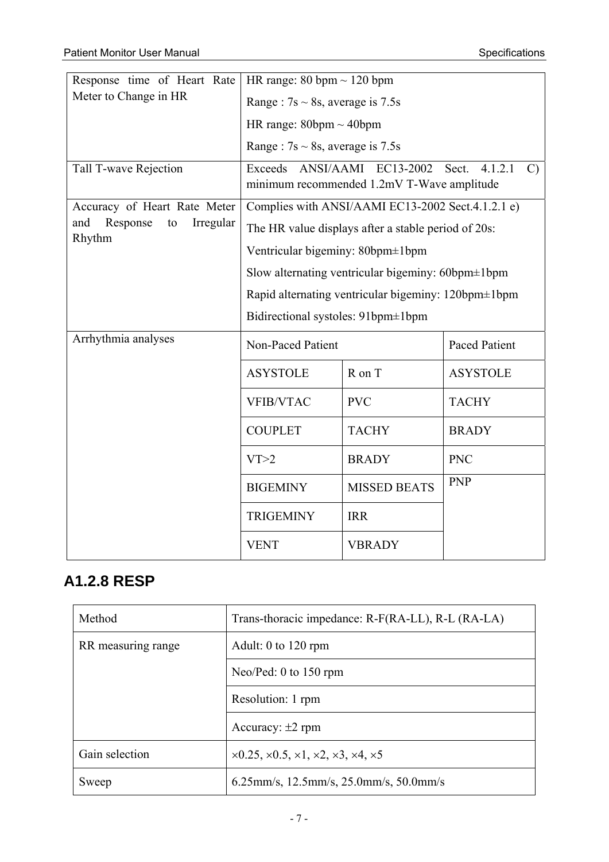| Response time of Heart Rate                  | HR range: $80 \text{ bpm} \sim 120 \text{ bpm}$     |                                                                   |                                   |
|----------------------------------------------|-----------------------------------------------------|-------------------------------------------------------------------|-----------------------------------|
| Meter to Change in HR                        | Range: $7s \sim 8s$ , average is 7.5s               |                                                                   |                                   |
|                                              | HR range: $80bpm \sim 40bpm$                        |                                                                   |                                   |
|                                              | Range: $7s \sim 8s$ , average is 7.5s               |                                                                   |                                   |
| Tall T-wave Rejection                        | Exceeds                                             | ANSI/AAMI EC13-2002<br>minimum recommended 1.2mV T-Wave amplitude | 4.1.2.1<br>$\mathcal{C}$<br>Sect. |
| Accuracy of Heart Rate Meter                 |                                                     | Complies with ANSI/AAMI EC13-2002 Sect.4.1.2.1 e)                 |                                   |
| Response<br>Irregular<br>and<br>to<br>Rhythm |                                                     | The HR value displays after a stable period of 20s:               |                                   |
|                                              | Ventricular bigeminy: 80bpm±1bpm                    |                                                                   |                                   |
|                                              | Slow alternating ventricular bigeminy: 60bpm±1bpm   |                                                                   |                                   |
|                                              | Rapid alternating ventricular bigeminy: 120bpm±1bpm |                                                                   |                                   |
|                                              | Bidirectional systoles: 91bpm±1bpm                  |                                                                   |                                   |
| Arrhythmia analyses                          | <b>Non-Paced Patient</b>                            |                                                                   | <b>Paced Patient</b>              |
|                                              | <b>ASYSTOLE</b>                                     | R on T                                                            | <b>ASYSTOLE</b>                   |
|                                              | <b>VFIB/VTAC</b>                                    | <b>PVC</b>                                                        | <b>TACHY</b>                      |
|                                              | <b>COUPLET</b>                                      | <b>TACHY</b>                                                      | <b>BRADY</b>                      |
|                                              | VT>2                                                | <b>BRADY</b>                                                      | <b>PNC</b>                        |
|                                              | <b>BIGEMINY</b>                                     | <b>MISSED BEATS</b>                                               | <b>PNP</b>                        |
|                                              | <b>TRIGEMINY</b>                                    | <b>IRR</b>                                                        |                                   |
|                                              | <b>VENT</b>                                         | <b>VBRADY</b>                                                     |                                   |

#### **A1.2.8 RESP**

| Method             | Trans-thoracic impedance: R-F(RA-LL), R-L (RA-LA)                           |
|--------------------|-----------------------------------------------------------------------------|
| RR measuring range | Adult: 0 to $120$ rpm                                                       |
|                    | Neo/Ped: 0 to $150$ rpm                                                     |
|                    | Resolution: 1 rpm                                                           |
|                    | Accuracy: $\pm 2$ rpm                                                       |
| Gain selection     | $\times 0.25, \times 0.5, \times 1, \times 2, \times 3, \times 4, \times 5$ |
| Sweep              | 6.25mm/s, 12.5mm/s, 25.0mm/s, 50.0mm/s                                      |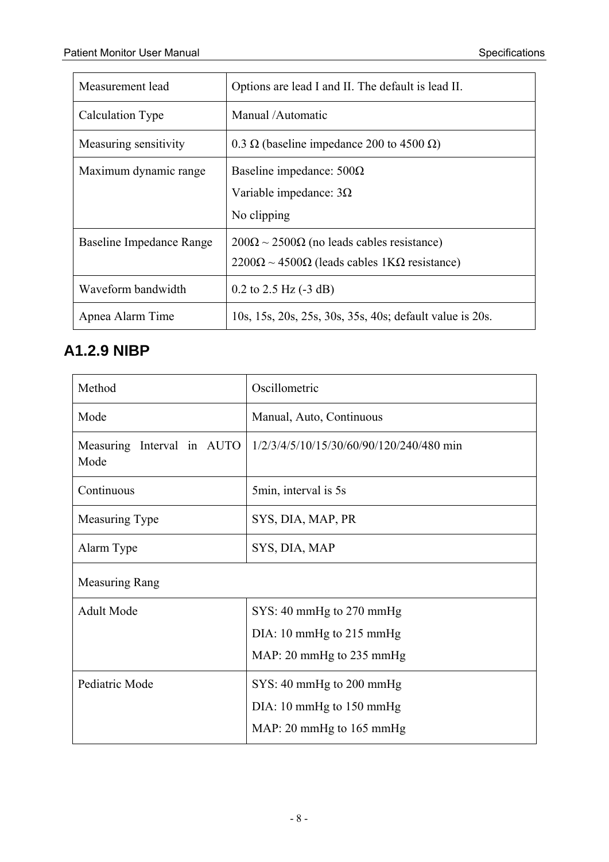| Measurement lead         | Options are lead I and II. The default is lead II.                                                                             |
|--------------------------|--------------------------------------------------------------------------------------------------------------------------------|
| Calculation Type         | Manual /Automatic                                                                                                              |
| Measuring sensitivity    | 0.3 $\Omega$ (baseline impedance 200 to 4500 $\Omega$ )                                                                        |
| Maximum dynamic range    | Baseline impedance: $500\Omega$<br>Variable impedance: $3\Omega$<br>No clipping                                                |
| Baseline Impedance Range | $200\Omega \sim 2500\Omega$ (no leads cables resistance)<br>$2200\Omega \sim 4500\Omega$ (leads cables 1K $\Omega$ resistance) |
| Waveform bandwidth       | $0.2$ to $2.5$ Hz $(-3$ dB)                                                                                                    |
| Apnea Alarm Time         | 10s, 15s, 20s, 25s, 30s, 35s, 40s; default value is 20s.                                                                       |

#### **A1.2.9 NIBP**

| Method                             | Oscillometric                            |
|------------------------------------|------------------------------------------|
| Mode                               | Manual, Auto, Continuous                 |
| Measuring Interval in AUTO<br>Mode | 1/2/3/4/5/10/15/30/60/90/120/240/480 min |
| Continuous                         | 5min, interval is 5s                     |
| Measuring Type                     | SYS, DIA, MAP, PR                        |
| Alarm Type                         | SYS, DIA, MAP                            |
| <b>Measuring Rang</b>              |                                          |
| Adult Mode                         | SYS: 40 mmHg to 270 mmHg                 |
|                                    | DIA: 10 mmHg to 215 mmHg                 |
|                                    | MAP: 20 mmHg to 235 mmHg                 |
| Pediatric Mode                     | SYS: 40 mmHg to 200 mmHg                 |
|                                    | $DIA: 10 \text{ mmHg}$ to 150 mmHg       |
|                                    | MAP: 20 mmHg to $165$ mmHg               |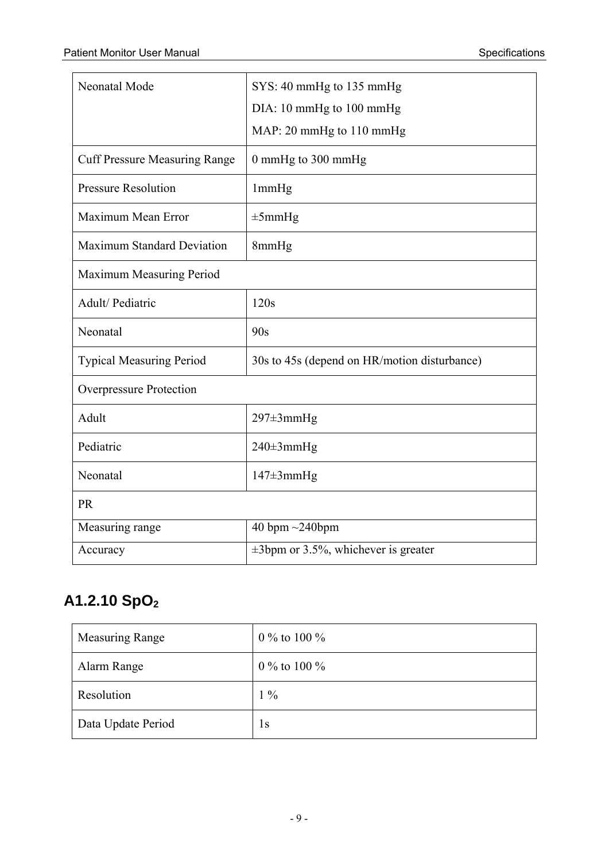| Neonatal Mode                        | SYS: 40 mmHg to 135 mmHg                     |  |
|--------------------------------------|----------------------------------------------|--|
|                                      | DIA: 10 mmHg to 100 mmHg                     |  |
|                                      | MAP: 20 mmHg to 110 mmHg                     |  |
| <b>Cuff Pressure Measuring Range</b> | 0 mmHg to 300 mmHg                           |  |
| <b>Pressure Resolution</b>           | 1mmHg                                        |  |
| Maximum Mean Error                   | $\pm 5$ mmHg                                 |  |
| <b>Maximum Standard Deviation</b>    | 8mmHg                                        |  |
| Maximum Measuring Period             |                                              |  |
| Adult/Pediatric                      | 120s                                         |  |
| Neonatal                             | 90s                                          |  |
| <b>Typical Measuring Period</b>      | 30s to 45s (depend on HR/motion disturbance) |  |
| Overpressure Protection              |                                              |  |
| Adult                                | $297 \pm 3$ mmHg                             |  |
| Pediatric                            | 240±3mmHg                                    |  |
| Neonatal                             | $147 \pm 3$ mm $Hg$                          |  |
| <b>PR</b>                            |                                              |  |
| Measuring range                      | 40 bpm $\sim$ 240bpm                         |  |
| Accuracy                             | $\pm$ 3bpm or 3.5%, whichever is greater     |  |

#### A1.2.10 SpO<sub>2</sub>

| Measuring Range    | 0 % to 100 % |
|--------------------|--------------|
| Alarm Range        | 0 % to 100 % |
| Resolution         | $1\%$        |
| Data Update Period | 1s           |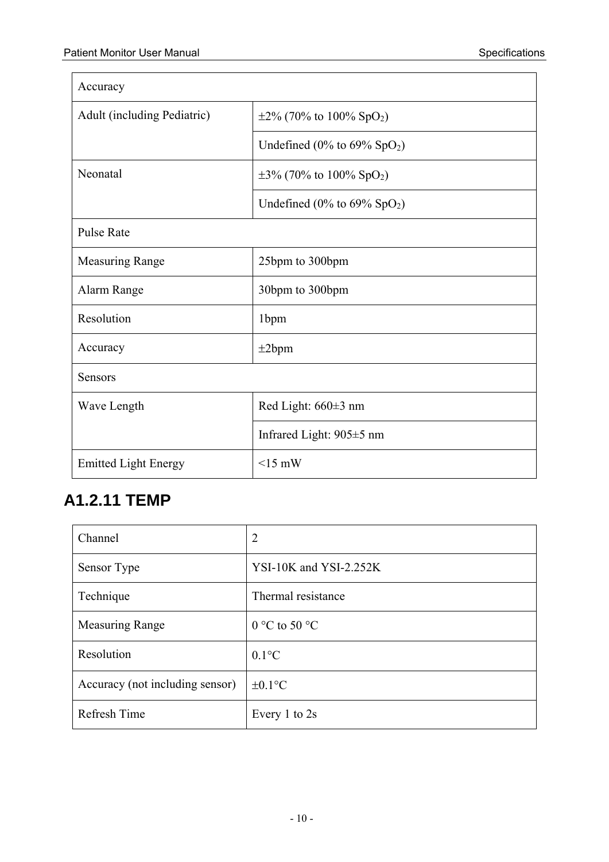$\blacksquare$ 

| Accuracy                           |                                                  |  |
|------------------------------------|--------------------------------------------------|--|
| <b>Adult</b> (including Pediatric) | $\pm 2\%$ (70% to 100% SpO <sub>2</sub> )        |  |
|                                    | Undefined $(0\% \text{ to } 69\% \text{ SpO}_2)$ |  |
| Neonatal                           | $\pm 3\%$ (70% to 100% SpO <sub>2</sub> )        |  |
|                                    | Undefined $(0\% \text{ to } 69\% \text{ SpO}_2)$ |  |
| <b>Pulse Rate</b>                  |                                                  |  |
| <b>Measuring Range</b>             | 25bpm to 300bpm                                  |  |
| Alarm Range                        | 30bpm to 300bpm                                  |  |
| Resolution                         | 1bpm                                             |  |
| Accuracy                           | $\pm 2$ bpm                                      |  |
| <b>Sensors</b>                     |                                                  |  |
| Wave Length                        | Red Light: $660±3$ nm                            |  |
|                                    | Infrared Light: $905 \pm 5$ nm                   |  |
| <b>Emitted Light Energy</b>        | $<15$ mW                                         |  |

#### **A1.2.11 TEMP**

| Channel                         | $\overline{2}$         |
|---------------------------------|------------------------|
| Sensor Type                     | YSI-10K and YSI-2.252K |
| Technique                       | Thermal resistance     |
| <b>Measuring Range</b>          | $0 °C$ to 50 $°C$      |
| Resolution                      | $0.1$ °C               |
| Accuracy (not including sensor) | $\pm 0.1$ °C           |
| Refresh Time                    | Every 1 to 2s          |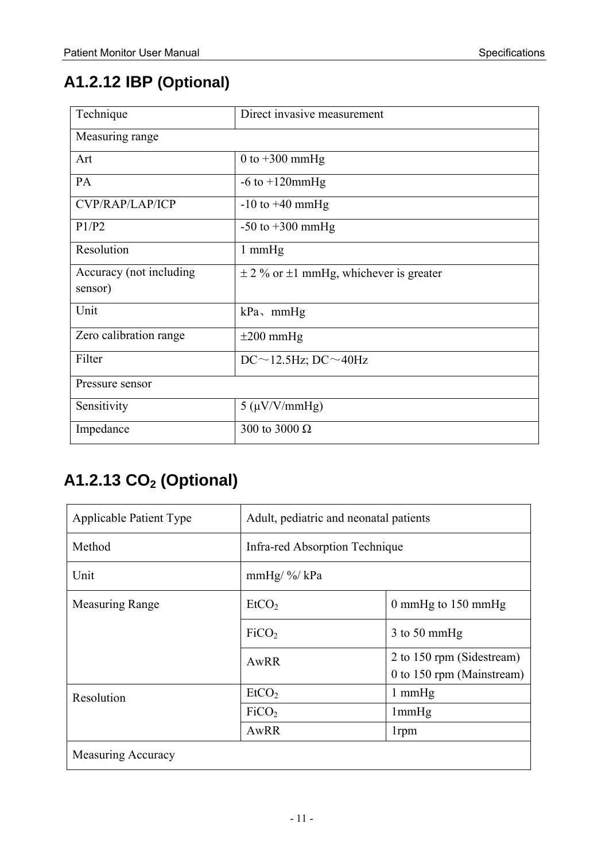#### **A1.2.12 IBP (Optional)**

| Technique                          | Direct invasive measurement                     |
|------------------------------------|-------------------------------------------------|
| Measuring range                    |                                                 |
| Art                                | 0 to $+300$ mmHg                                |
| PA                                 | $-6$ to $+120$ mmHg                             |
| CVP/RAP/LAP/ICP                    | $-10$ to $+40$ mmHg                             |
| P1/P2                              | $-50$ to $+300$ mmHg                            |
| Resolution                         | $1 \text{ mmHg}$                                |
| Accuracy (not including<br>sensor) | $\pm$ 2 % or $\pm$ 1 mmHg, whichever is greater |
| Unit                               | $kPa$ , mmHg                                    |
| Zero calibration range             | $\pm 200$ mmHg                                  |
| Filter                             | $DC \sim 12.5$ Hz; $DC \sim 40$ Hz              |
| Pressure sensor                    |                                                 |
| Sensitivity                        | $5 \, (\mu V/V/mm Hg)$                          |
| Impedance                          | 300 to 3000 $\Omega$                            |

## **A1.2.13 CO2 (Optional)**

| <b>Applicable Patient Type</b> | Adult, pediatric and neonatal patients |                                                        |
|--------------------------------|----------------------------------------|--------------------------------------------------------|
| Method                         | Infra-red Absorption Technique         |                                                        |
| Unit                           | $mmHg/$ %/ kPa                         |                                                        |
| <b>Measuring Range</b>         | EtCO <sub>2</sub>                      | 0 mmHg to $150$ mmHg                                   |
|                                | FiCO <sub>2</sub>                      | $3$ to 50 mmHg                                         |
|                                | AwRR                                   | 2 to 150 rpm (Sidestream)<br>0 to 150 rpm (Mainstream) |
| Resolution                     | EtCO <sub>2</sub>                      | $1 \text{ mmHg}$                                       |
|                                | FiCO <sub>2</sub>                      | 1mmHg                                                  |
|                                | AwRR                                   | 1rpm                                                   |
| <b>Measuring Accuracy</b>      |                                        |                                                        |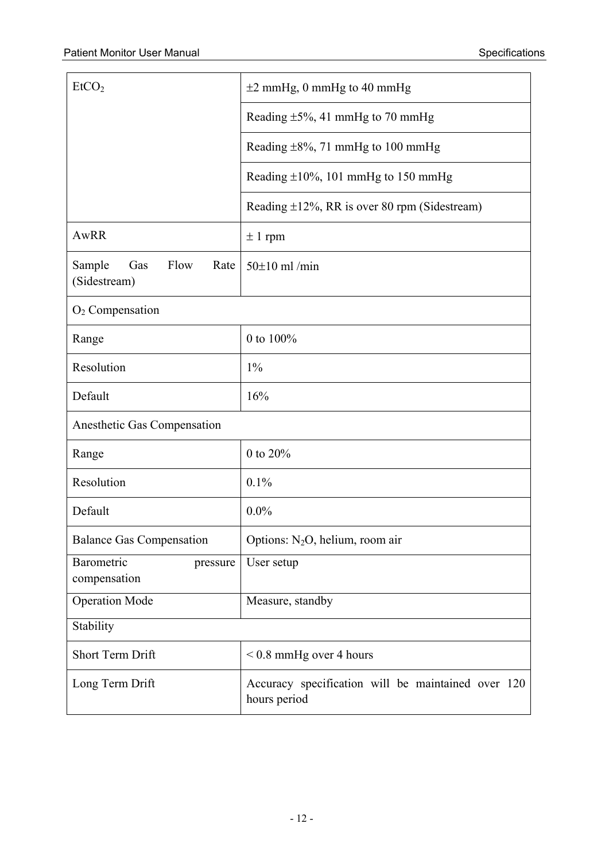| EtCO <sub>2</sub>                             | $\pm 2$ mmHg, 0 mmHg to 40 mmHg                                    |  |
|-----------------------------------------------|--------------------------------------------------------------------|--|
|                                               | Reading $\pm 5\%$ , 41 mmHg to 70 mmHg                             |  |
|                                               | Reading $\pm 8\%$ , 71 mmHg to 100 mmHg                            |  |
|                                               | Reading $\pm 10\%$ , 101 mmHg to 150 mmHg                          |  |
|                                               | Reading $\pm 12\%$ , RR is over 80 rpm (Sidestream)                |  |
| AwRR                                          | $\pm$ 1 rpm                                                        |  |
| Sample<br>Flow<br>Gas<br>Rate<br>(Sidestream) | $50\pm10$ ml/min                                                   |  |
| $O2$ Compensation                             |                                                                    |  |
| Range                                         | 0 to 100%                                                          |  |
| Resolution                                    | $1\%$                                                              |  |
| Default                                       | 16%                                                                |  |
| Anesthetic Gas Compensation                   |                                                                    |  |
| Range                                         | 0 to 20%                                                           |  |
| Resolution                                    | 0.1%                                                               |  |
| Default                                       | $0.0\%$                                                            |  |
| <b>Balance Gas Compensation</b>               | Options: $N_2O$ , helium, room air                                 |  |
| Barometric<br>pressure<br>compensation        | User setup                                                         |  |
| <b>Operation Mode</b>                         | Measure, standby                                                   |  |
| Stability                                     |                                                                    |  |
| Short Term Drift                              | $< 0.8$ mmHg over 4 hours                                          |  |
| Long Term Drift                               | Accuracy specification will be maintained over 120<br>hours period |  |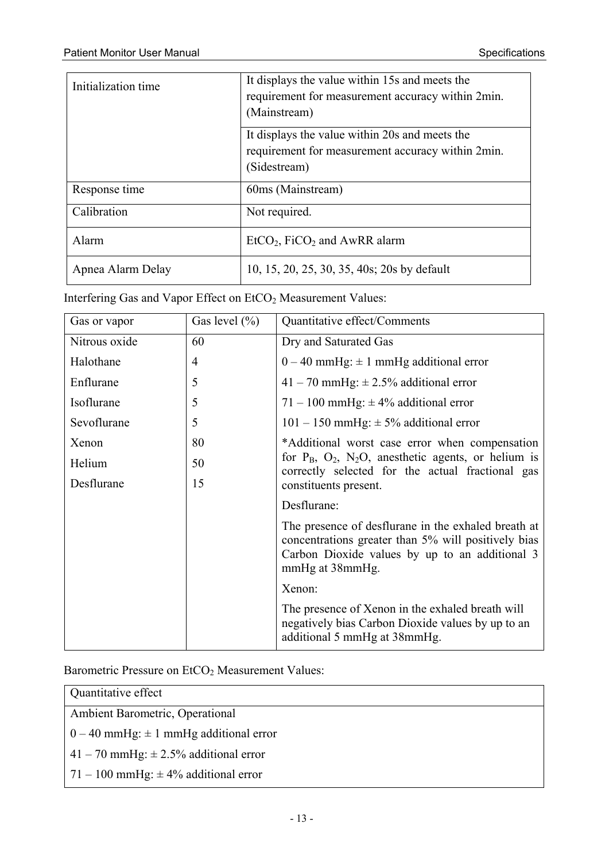| Initialization time | It displays the value within 15s and meets the<br>requirement for measurement accuracy within 2min.<br>(Mainstream) |
|---------------------|---------------------------------------------------------------------------------------------------------------------|
|                     | It displays the value within 20s and meets the<br>requirement for measurement accuracy within 2min.<br>(Sidestream) |
| Response time       | 60ms (Mainstream)                                                                                                   |
| Calibration         | Not required.                                                                                                       |
| Alarm               | $EtCO2$ , FiCO <sub>2</sub> and AwRR alarm                                                                          |
| Apnea Alarm Delay   | 10, 15, 20, 25, 30, 35, 40s; 20s by default                                                                         |

Interfering Gas and Vapor Effect on EtCO<sub>2</sub> Measurement Values:

| Gas or vapor  | Gas level $(\% )$ | Quantitative effect/Comments                                                                                                                                                                |
|---------------|-------------------|---------------------------------------------------------------------------------------------------------------------------------------------------------------------------------------------|
| Nitrous oxide | 60                | Dry and Saturated Gas                                                                                                                                                                       |
| Halothane     | $\overline{4}$    | $0-40$ mmHg: $\pm$ 1 mmHg additional error                                                                                                                                                  |
| Enflurane     | 5                 | $41 - 70$ mmHg: $\pm 2.5\%$ additional error                                                                                                                                                |
| Isoflurane    | 5                 | 71 – 100 mmHg: $\pm$ 4% additional error                                                                                                                                                    |
| Sevoflurane   | 5                 | $101 - 150$ mmHg: $\pm$ 5% additional error                                                                                                                                                 |
| Xenon         | 80                | *Additional worst case error when compensation<br>for $P_B$ , $O_2$ , $N_2O$ , anesthetic agents, or helium is<br>correctly selected for the actual fractional gas<br>constituents present. |
| Helium        | 50                |                                                                                                                                                                                             |
| Desflurane    | 15                |                                                                                                                                                                                             |
|               |                   | Desflurane:                                                                                                                                                                                 |
|               |                   | The presence of desflurane in the exhaled breath at<br>concentrations greater than 5% will positively bias<br>Carbon Dioxide values by up to an additional 3<br>mmHg at 38mmHg.             |
|               |                   | Xenon:                                                                                                                                                                                      |
|               |                   | The presence of Xenon in the exhaled breath will<br>negatively bias Carbon Dioxide values by up to an<br>additional 5 mmHg at 38mmHg.                                                       |

Barometric Pressure on EtCO<sub>2</sub> Measurement Values:

| Quantitative effect                                |  |
|----------------------------------------------------|--|
| Ambient Barometric, Operational                    |  |
| $\vert 0 - 40$ mmHg: $\pm$ 1 mmHg additional error |  |
| $141 - 70$ mmHg: $\pm 2.5\%$ additional error      |  |
| $\mid$ 71 – 100 mmHg: $\pm$ 4% additional error    |  |